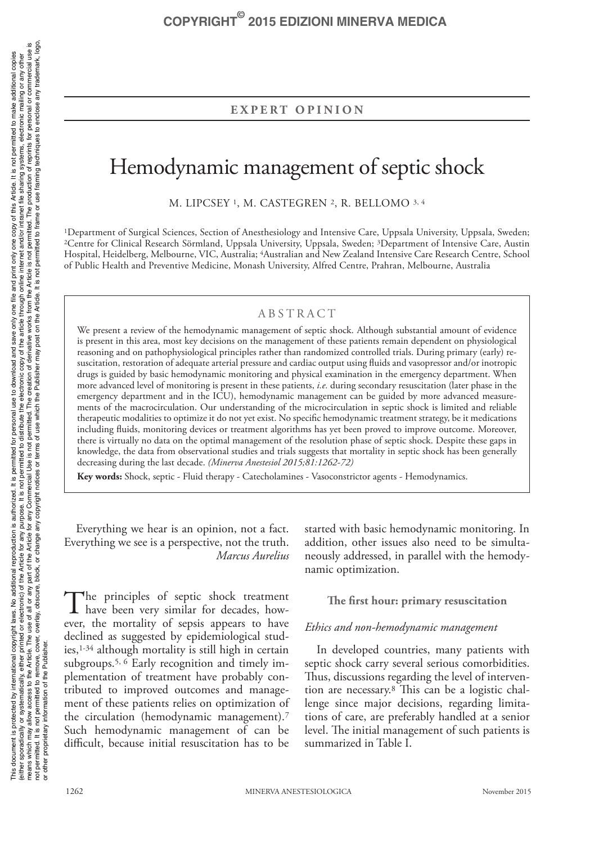# **EXPERT OPINION**

# Hemodynamic management of septic shock

M. LIPCSEY 1, M. CASTEGREN 2, R. BELLOMO 3, 4

1Department of Surgical Sciences, Section of Anesthesiology and Intensive Care, Uppsala University, Uppsala, Sweden; 2Centre for Clinical Research Sörmland, Uppsala University, Uppsala, Sweden; 3Department of Intensive Care, Austin Hospital, Heidelberg, Melbourne, VIC, Australia; 4Australian and New Zealand Intensive Care Research Centre, School of Public Health and Preventive Medicine, Monash University, Alfred Centre, Prahran, Melbourne, Australia

# ABSTRACT

We present a review of the hemodynamic management of septic shock. Although substantial amount of evidence is present in this area, most key decisions on the management of these patients remain dependent on physiological reasoning and on pathophysiological principles rather than randomized controlled trials. During primary (early) resuscitation, restoration of adequate arterial pressure and cardiac output using fluids and vasopressor and/or inotropic drugs is guided by basic hemodynamic monitoring and physical examination in the emergency department. When more advanced level of monitoring is present in these patients, *i.e.* during secondary resuscitation (later phase in the emergency department and in the ICU), hemodynamic management can be guided by more advanced measurements of the macrocirculation. Our understanding of the microcirculation in septic shock is limited and reliable therapeutic modalities to optimize it do not yet exist. No specific hemodynamic treatment strategy, be it medications including fluids, monitoring devices or treatment algorithms has yet been proved to improve outcome. Moreover, there is virtually no data on the optimal management of the resolution phase of septic shock. Despite these gaps in knowledge, the data from observational studies and trials suggests that mortality in septic shock has been generally decreasing during the last decade. *(Minerva Anestesiol 2015;81:1262-72)*

**Key words:** Shock, septic - Fluid therapy - Catecholamines - Vasoconstrictor agents - Hemodynamics.

Everything we hear is an opinion, not a fact. Everything we see is a perspective, not the truth. *Marcus Aurelius*

The principles of septic shock treatment<br>have been very similar for decades, however, the mortality of sepsis appears to have declined as suggested by epidemiological studies, $1-34$  although mortality is still high in certain subgroups.5, 6 Early recognition and timely implementation of treatment have probably contributed to improved outcomes and management of these patients relies on optimization of the circulation (hemodynamic management).7 Such hemodynamic management of can be difficult, because initial resuscitation has to be

started with basic hemodynamic monitoring. In addition, other issues also need to be simultaneously addressed, in parallel with the hemodynamic optimization.

# **The first hour: primary resuscitation**

## *Ethics and non-hemodynamic management*

In developed countries, many patients with septic shock carry several serious comorbidities. Thus, discussions regarding the level of intervention are necessary.8 This can be a logistic challenge since major decisions, regarding limitations of care, are preferably handled at a senior level. The initial management of such patients is summarized in Table I.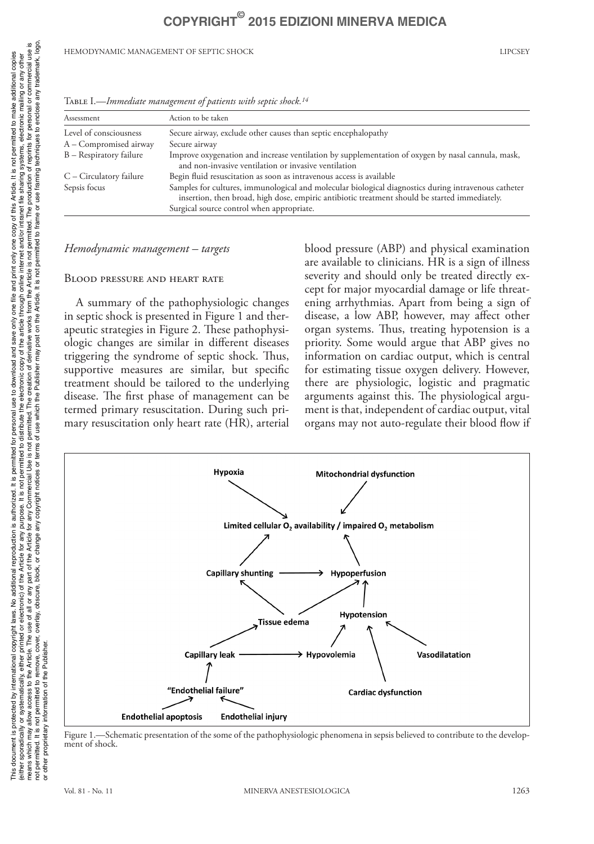HEMODYNAMIC MANAGEMENT OF SEPTIC SHOCK LIPCSEY

| Assessment              | Action to be taken                                                                                                                                                                                                                                 |
|-------------------------|----------------------------------------------------------------------------------------------------------------------------------------------------------------------------------------------------------------------------------------------------|
| Level of consciousness  | Secure airway, exclude other causes than septic encephalopathy                                                                                                                                                                                     |
| A – Compromised airway  | Secure airway                                                                                                                                                                                                                                      |
| B - Respiratory failure | Improve oxygenation and increase ventilation by supplementation of oxygen by nasal cannula, mask,<br>and non-invasive ventilation or invasive ventilation                                                                                          |
| C - Circulatory failure | Begin fluid resuscitation as soon as intravenous access is available                                                                                                                                                                               |
| Sepsis focus            | Samples for cultures, immunological and molecular biological diagnostics during intravenous catheter<br>insertion, then broad, high dose, empiric antibiotic treatment should be started immediately.<br>Surgical source control when appropriate. |

Table I.—*Immediate management of patients with septic shock.14*

## *Hemodynamic management – targets*

## Blood pressure and heart rate

A summary of the pathophysiologic changes in septic shock is presented in Figure 1 and therapeutic strategies in Figure 2. These pathophysiologic changes are similar in different diseases triggering the syndrome of septic shock. Thus, supportive measures are similar, but specific treatment should be tailored to the underlying disease. The first phase of management can be termed primary resuscitation. During such primary resuscitation only heart rate (HR), arterial blood pressure (ABP) and physical examination are available to clinicians. HR is a sign of illness severity and should only be treated directly except for major myocardial damage or life threatening arrhythmias. Apart from being a sign of disease, a low ABP, however, may affect other organ systems. Thus, treating hypotension is a priority. Some would argue that ABP gives no information on cardiac output, which is central for estimating tissue oxygen delivery. However, there are physiologic, logistic and pragmatic arguments against this. The physiological argument is that, independent of cardiac output, vital organs may not auto-regulate their blood flow if



Figure 1.—Schematic presentation of the some of the pathophysiologic phenomena in sepsis believed to contribute to the development of shock.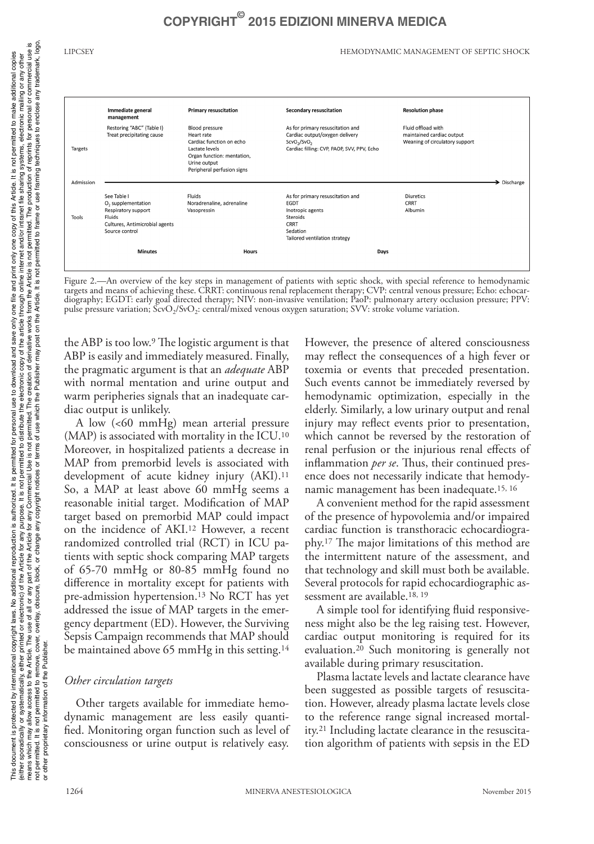LIPCSEY HEMODYNAMIC MANAGEMENT OF SEPTIC SHOCK



Figure 2.—An overview of the key steps in management of patients with septic shock, with special reference to hemodynamic targets and means of achieving these. CRRT: continuous renal replacement therapy; CVP: central venous pressure; Echo: echocardiography; EGDT: early goal directed therapy; NIV: non-invasive ventilation; PaoP: pulmonary artery occlusion pressure; PPV: pulse pressure variation; ScvO<sub>2</sub>/SvO<sub>2</sub>: central/mixed venous oxygen saturation; SVV: stroke volume variation.

the ABP is too low.9 The logistic argument is that ABP is easily and immediately measured. Finally, the pragmatic argument is that an *adequate* ABP with normal mentation and urine output and warm peripheries signals that an inadequate cardiac output is unlikely.

A low (<60 mmHg) mean arterial pressure (MAP) is associated with mortality in the ICU.10 Moreover, in hospitalized patients a decrease in MAP from premorbid levels is associated with development of acute kidney injury (AKI).<sup>11</sup> So, a MAP at least above 60 mmHg seems a reasonable initial target. Modification of MAP target based on premorbid MAP could impact on the incidence of AKI.12 However, a recent randomized controlled trial (RCT) in ICU patients with septic shock comparing MAP targets of 65-70 mmHg or 80-85 mmHg found no difference in mortality except for patients with pre-admission hypertension.13 No RCT has yet addressed the issue of MAP targets in the emergency department (ED). However, the Surviving Sepsis Campaign recommends that MAP should be maintained above 65 mmHg in this setting.<sup>14</sup>

# *Other circulation targets*

Other targets available for immediate hemodynamic management are less easily quantified. Monitoring organ function such as level of consciousness or urine output is relatively easy. However, the presence of altered consciousness may reflect the consequences of a high fever or toxemia or events that preceded presentation. Such events cannot be immediately reversed by hemodynamic optimization, especially in the elderly. Similarly, a low urinary output and renal injury may reflect events prior to presentation, which cannot be reversed by the restoration of renal perfusion or the injurious renal effects of inflammation *per se*. Thus, their continued presence does not necessarily indicate that hemodynamic management has been inadequate.15, 16

A convenient method for the rapid assessment of the presence of hypovolemia and/or impaired cardiac function is transthoracic echocardiography.17 The major limitations of this method are the intermittent nature of the assessment, and that technology and skill must both be available. Several protocols for rapid echocardiographic assessment are available.18, 19

A simple tool for identifying fluid responsiveness might also be the leg raising test. However, cardiac output monitoring is required for its evaluation.20 Such monitoring is generally not available during primary resuscitation.

Plasma lactate levels and lactate clearance have been suggested as possible targets of resuscitation. However, already plasma lactate levels close to the reference range signal increased mortality.21 Including lactate clearance in the resuscitation algorithm of patients with sepsis in the ED

or other proprietary information of the Publisher.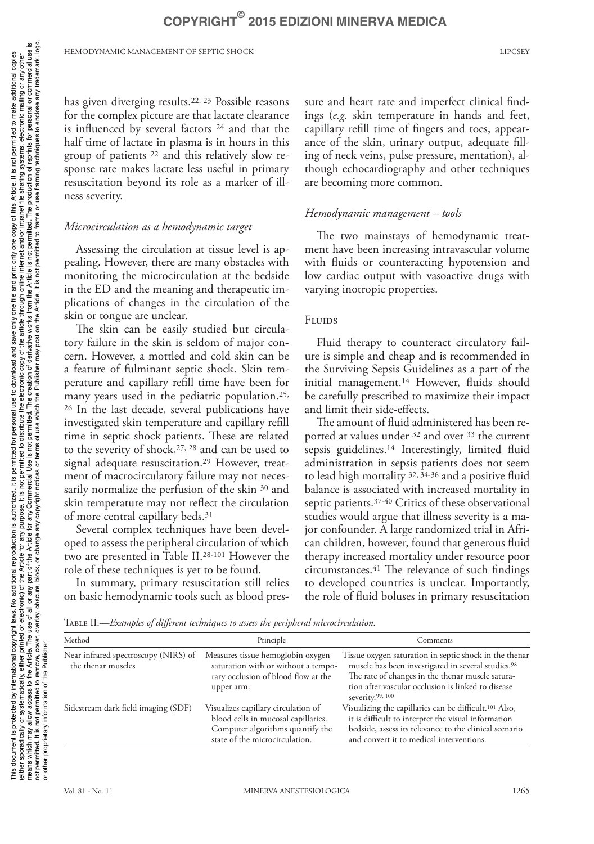has given diverging results.22, 23 Possible reasons for the complex picture are that lactate clearance is influenced by several factors 24 and that the half time of lactate in plasma is in hours in this group of patients 22 and this relatively slow response rate makes lactate less useful in primary resuscitation beyond its role as a marker of illness severity.

# *Microcirculation as a hemodynamic target*

Assessing the circulation at tissue level is appealing. However, there are many obstacles with monitoring the microcirculation at the bedside in the ED and the meaning and therapeutic implications of changes in the circulation of the skin or tongue are unclear.

The skin can be easily studied but circulatory failure in the skin is seldom of major concern. However, a mottled and cold skin can be a feature of fulminant septic shock. Skin temperature and capillary refill time have been for many years used in the pediatric population.25, 26 In the last decade, several publications have investigated skin temperature and capillary refill time in septic shock patients. These are related to the severity of shock,27, 28 and can be used to signal adequate resuscitation.29 However, treatment of macrocirculatory failure may not necessarily normalize the perfusion of the skin <sup>30</sup> and skin temperature may not reflect the circulation of more central capillary beds.31

Several complex techniques have been developed to assess the peripheral circulation of which two are presented in Table II.28-101 However the role of these techniques is yet to be found.

In summary, primary resuscitation still relies on basic hemodynamic tools such as blood pressure and heart rate and imperfect clinical findings (*e.g.* skin temperature in hands and feet, capillary refill time of fingers and toes, appearance of the skin, urinary output, adequate filling of neck veins, pulse pressure, mentation), although echocardiography and other techniques are becoming more common.

# *Hemodynamic management – tools*

The two mainstays of hemodynamic treatment have been increasing intravascular volume with fluids or counteracting hypotension and low cardiac output with vasoactive drugs with varying inotropic properties.

# Fluids

Fluid therapy to counteract circulatory failure is simple and cheap and is recommended in the Surviving Sepsis Guidelines as a part of the initial management.14 However, fluids should be carefully prescribed to maximize their impact and limit their side-effects.

The amount of fluid administered has been reported at values under 32 and over 33 the current sepsis guidelines.<sup>14</sup> Interestingly, limited fluid administration in sepsis patients does not seem to lead high mortality 32, 34-36 and a positive fluid balance is associated with increased mortality in septic patients.37-40 Critics of these observational studies would argue that illness severity is a major confounder. A large randomized trial in African children, however, found that generous fluid therapy increased mortality under resource poor circumstances.41 The relevance of such findings to developed countries is unclear. Importantly, the role of fluid boluses in primary resuscitation

Table II.—*Examples of different techniques to assess the peripheral microcirculation.*

| Method                                                     | Principle                                                                                                                                        | Comments                                                                                                                                                                                                                                                           |
|------------------------------------------------------------|--------------------------------------------------------------------------------------------------------------------------------------------------|--------------------------------------------------------------------------------------------------------------------------------------------------------------------------------------------------------------------------------------------------------------------|
| Near infrared spectroscopy (NIRS) of<br>the thenar muscles | Measures tissue hemoglobin oxygen<br>saturation with or without a tempo-<br>rary occlusion of blood flow at the<br>upper arm.                    | Tissue oxygen saturation in septic shock in the thenar<br>muscle has been investigated in several studies. <sup>98</sup><br>The rate of changes in the thenar muscle satura-<br>tion after vascular occlusion is linked to disease<br>severity. <sup>99, 100</sup> |
| Sidestream dark field imaging (SDF)                        | Visualizes capillary circulation of<br>blood cells in mucosal capillaries.<br>Computer algorithms quantify the<br>state of the microcirculation. | Visualizing the capillaries can be difficult. <sup>101</sup> Also,<br>it is difficult to interpret the visual information<br>bedside, assess its relevance to the clinical scenario<br>and convert it to medical interventions.                                    |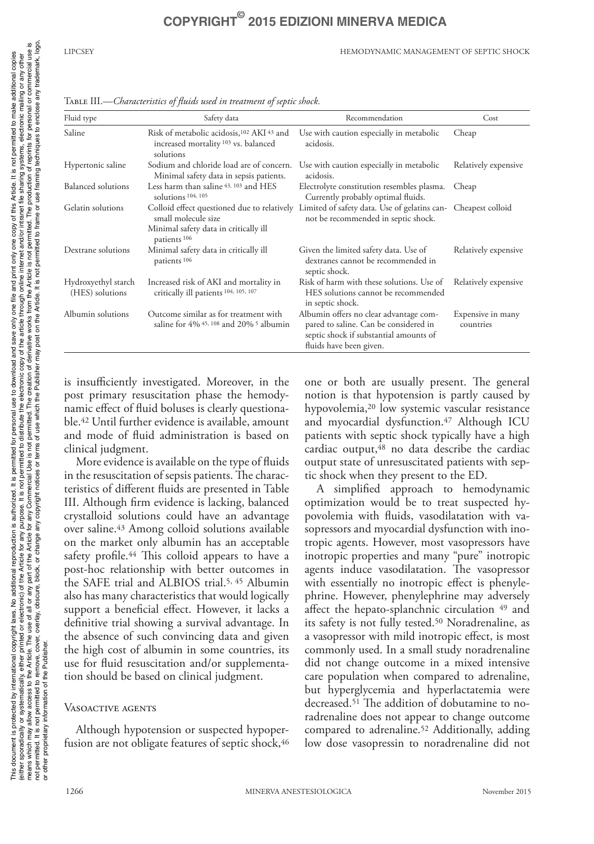### LIPCSEY HEMODYNAMIC MANAGEMENT OF SEPTIC SHOCK

| Fluid type                             | Safety data                                                                                                                 | Recommendation                                                                                                                                       | Cost                           |
|----------------------------------------|-----------------------------------------------------------------------------------------------------------------------------|------------------------------------------------------------------------------------------------------------------------------------------------------|--------------------------------|
| Saline                                 | Risk of metabolic acidosis, 102 AKI 43 and<br>increased mortality <sup>103</sup> vs. balanced<br>solutions                  | Use with caution especially in metabolic<br>acidosis.                                                                                                | Cheap                          |
| Hypertonic saline                      | Sodium and chloride load are of concern.<br>Minimal safety data in sepsis patients.                                         | Use with caution especially in metabolic<br>acidosis.                                                                                                | Relatively expensive           |
| Balanced solutions                     | Less harm than saline 43, 103 and HES<br>solutions 104, 105                                                                 | Electrolyte constitution resembles plasma.<br>Currently probably optimal fluids.                                                                     | Cheap                          |
| Gelatin solutions                      | Colloid effect questioned due to relatively<br>small molecule size<br>Minimal safety data in critically ill<br>patients 106 | Limited of safety data. Use of gelatins can-<br>not be recommended in septic shock.                                                                  | Cheapest colloid               |
| Dextrane solutions                     | Minimal safety data in critically ill<br>patients <sup>106</sup>                                                            | Given the limited safety data. Use of<br>dextranes cannot be recommended in<br>septic shock.                                                         | Relatively expensive           |
| Hydroxyethyl starch<br>(HES) solutions | Increased risk of AKI and mortality in<br>critically ill patients 104, 105, 107                                             | Risk of harm with these solutions. Use of<br>HES solutions cannot be recommended<br>in septic shock.                                                 | Relatively expensive           |
| Albumin solutions                      | Outcome similar as for treatment with<br>saline for $4\%$ $45$ , $108$ and $20\%$ <sup>5</sup> albumin                      | Albumin offers no clear advantage com-<br>pared to saline. Can be considered in<br>septic shock if substantial amounts of<br>fluids have been given. | Expensive in many<br>countries |

Table III.—*Characteristics of fluids used in treatment of septic shock.*

is insufficiently investigated. Moreover, in the post primary resuscitation phase the hemodynamic effect of fluid boluses is clearly questionable.42 Until further evidence is available, amount and mode of fluid administration is based on clinical judgment.

More evidence is available on the type of fluids in the resuscitation of sepsis patients. The characteristics of different fluids are presented in Table III. Although firm evidence is lacking, balanced crystalloid solutions could have an advantage over saline.43 Among colloid solutions available on the market only albumin has an acceptable safety profile.<sup>44</sup> This colloid appears to have a post-hoc relationship with better outcomes in the SAFE trial and ALBIOS trial.5, 45 Albumin also has many characteristics that would logically support a beneficial effect. However, it lacks a definitive trial showing a survival advantage. In the absence of such convincing data and given the high cost of albumin in some countries, its use for fluid resuscitation and/or supplementation should be based on clinical judgment.

## Vasoactive agents

Although hypotension or suspected hypoperfusion are not obligate features of septic shock, 46 one or both are usually present. The general notion is that hypotension is partly caused by hypovolemia,20 low systemic vascular resistance and myocardial dysfunction.<sup>47</sup> Although ICU patients with septic shock typically have a high cardiac output, $48$  no data describe the cardiac output state of unresuscitated patients with septic shock when they present to the ED.

A simplified approach to hemodynamic optimization would be to treat suspected hypovolemia with fluids, vasodilatation with vasopressors and myocardial dysfunction with inotropic agents. However, most vasopressors have inotropic properties and many "pure" inotropic agents induce vasodilatation. The vasopressor with essentially no inotropic effect is phenylephrine. However, phenylephrine may adversely affect the hepato-splanchnic circulation <sup>49</sup> and its safety is not fully tested.<sup>50</sup> Noradrenaline, as a vasopressor with mild inotropic effect, is most commonly used. In a small study noradrenaline did not change outcome in a mixed intensive care population when compared to adrenaline, but hyperglycemia and hyperlactatemia were decreased.51 The addition of dobutamine to noradrenaline does not appear to change outcome compared to adrenaline.52 Additionally, adding low dose vasopressin to noradrenaline did not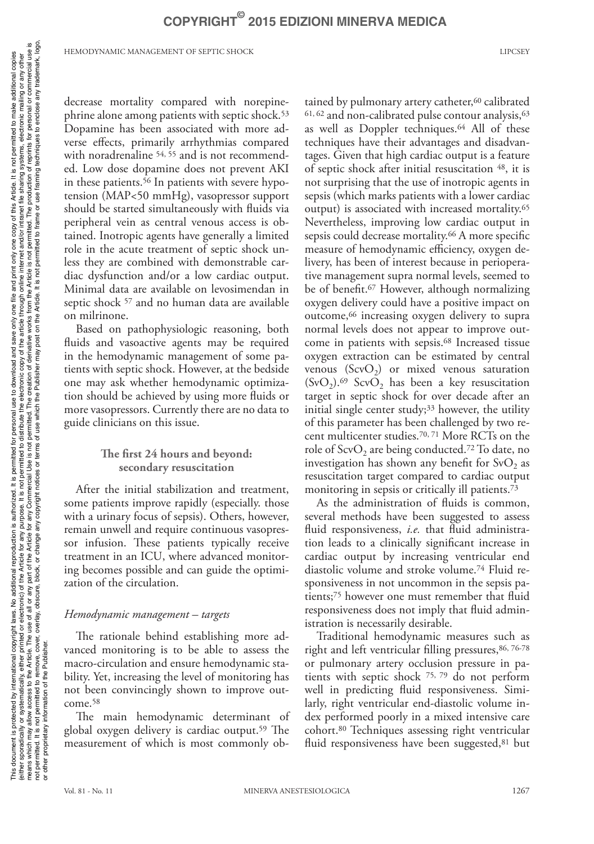decrease mortality compared with norepinephrine alone among patients with septic shock.<sup>53</sup> Dopamine has been associated with more adverse effects, primarily arrhythmias compared with noradrenaline <sup>54, 55</sup> and is not recommended. Low dose dopamine does not prevent AKI in these patients.<sup>56</sup> In patients with severe hypotension (MAP<50 mmHg), vasopressor support should be started simultaneously with fluids via peripheral vein as central venous access is obtained. Inotropic agents have generally a limited role in the acute treatment of septic shock unless they are combined with demonstrable cardiac dysfunction and/or a low cardiac output. Minimal data are available on levosimendan in septic shock 57 and no human data are available on milrinone.

Based on pathophysiologic reasoning, both fluids and vasoactive agents may be required in the hemodynamic management of some patients with septic shock. However, at the bedside one may ask whether hemodynamic optimization should be achieved by using more fluids or more vasopressors. Currently there are no data to guide clinicians on this issue.

# **The first 24 hours and beyond: secondary resuscitation**

After the initial stabilization and treatment, some patients improve rapidly (especially. those with a urinary focus of sepsis). Others, however, remain unwell and require continuous vasopressor infusion. These patients typically receive treatment in an ICU, where advanced monitoring becomes possible and can guide the optimization of the circulation.

# *Hemodynamic management – targets*

The rationale behind establishing more advanced monitoring is to be able to assess the macro-circulation and ensure hemodynamic stability. Yet, increasing the level of monitoring has not been convincingly shown to improve outcome.58

The main hemodynamic determinant of global oxygen delivery is cardiac output.59 The measurement of which is most commonly obtained by pulmonary artery catheter,<sup>60</sup> calibrated  $61, 62$  and non-calibrated pulse contour analysis,  $63$ as well as Doppler techniques.64 All of these techniques have their advantages and disadvantages. Given that high cardiac output is a feature of septic shock after initial resuscitation 48, it is not surprising that the use of inotropic agents in sepsis (which marks patients with a lower cardiac output) is associated with increased mortality.65 Nevertheless, improving low cardiac output in sepsis could decrease mortality.<sup>66</sup> A more specific measure of hemodynamic efficiency, oxygen delivery, has been of interest because in perioperative management supra normal levels, seemed to be of benefit.67 However, although normalizing oxygen delivery could have a positive impact on outcome,66 increasing oxygen delivery to supra normal levels does not appear to improve outcome in patients with sepsis.68 Increased tissue oxygen extraction can be estimated by central venous  $(ScvO<sub>2</sub>)$  or mixed venous saturation  $(SvO<sub>2</sub>)$ .<sup>69</sup> ScvO<sub>2</sub> has been a key resuscitation target in septic shock for over decade after an initial single center study; $33$  however, the utility of this parameter has been challenged by two recent multicenter studies.70, 71 More RCTs on the role of  $ScvO<sub>2</sub>$  are being conducted.<sup>72</sup> To date, no investigation has shown any benefit for  $SvO<sub>2</sub>$  as resuscitation target compared to cardiac output monitoring in sepsis or critically ill patients.73

As the administration of fluids is common, several methods have been suggested to assess fluid responsiveness, *i.e.* that fluid administration leads to a clinically significant increase in cardiac output by increasing ventricular end diastolic volume and stroke volume.74 Fluid responsiveness in not uncommon in the sepsis patients;75 however one must remember that fluid responsiveness does not imply that fluid administration is necessarily desirable.

Traditional hemodynamic measures such as right and left ventricular filling pressures, 86, 76-78 or pulmonary artery occlusion pressure in patients with septic shock 75, 79 do not perform well in predicting fluid responsiveness. Similarly, right ventricular end-diastolic volume index performed poorly in a mixed intensive care cohort.80 Techniques assessing right ventricular fluid responsiveness have been suggested,<sup>81</sup> but

or other proprietary information of the Publisher.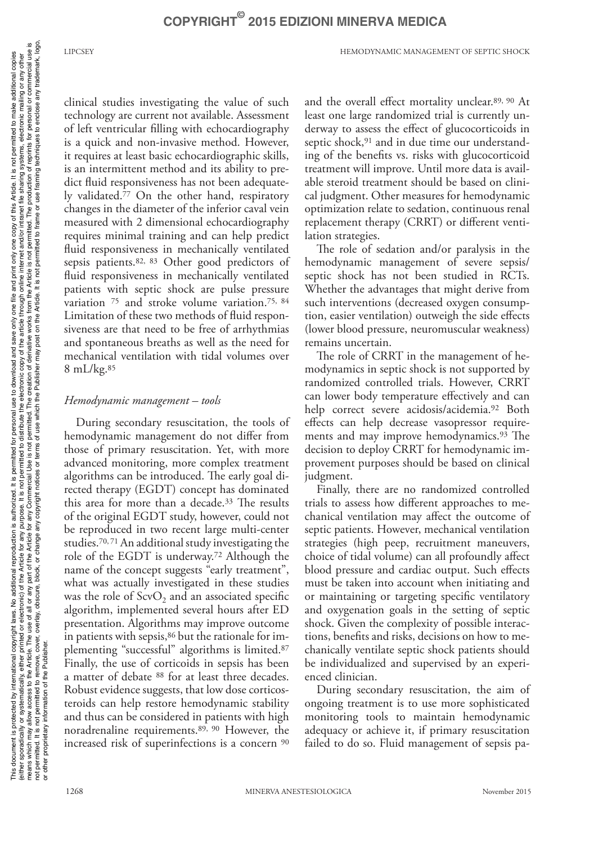clinical studies investigating the value of such technology are current not available. Assessment of left ventricular filling with echocardiography is a quick and non-invasive method. However, it requires at least basic echocardiographic skills, is an intermittent method and its ability to predict fluid responsiveness has not been adequately validated.77 On the other hand, respiratory changes in the diameter of the inferior caval vein measured with 2 dimensional echocardiography requires minimal training and can help predict fluid responsiveness in mechanically ventilated sepsis patients.82, 83 Other good predictors of fluid responsiveness in mechanically ventilated patients with septic shock are pulse pressure variation 75 and stroke volume variation.75, 84 Limitation of these two methods of fluid responsiveness are that need to be free of arrhythmias and spontaneous breaths as well as the need for mechanical ventilation with tidal volumes over 8 mL/kg.85

# *Hemodynamic management – tools*

During secondary resuscitation, the tools of hemodynamic management do not differ from those of primary resuscitation. Yet, with more advanced monitoring, more complex treatment algorithms can be introduced. The early goal directed therapy (EGDT) concept has dominated this area for more than a decade.33 The results of the original EGDT study, however, could not be reproduced in two recent large multi-center studies.70, 71 An additional study investigating the role of the EGDT is underway.72 Although the name of the concept suggests "early treatment", what was actually investigated in these studies was the role of  $ScvO<sub>2</sub>$  and an associated specific algorithm, implemented several hours after ED presentation. Algorithms may improve outcome in patients with sepsis,<sup>86</sup> but the rationale for implementing "successful" algorithms is limited.87 Finally, the use of corticoids in sepsis has been a matter of debate 88 for at least three decades. Robust evidence suggests, that low dose corticosteroids can help restore hemodynamic stability and thus can be considered in patients with high noradrenaline requirements.89, 90 However, the increased risk of superinfections is a concern 90

and the overall effect mortality unclear.89, 90 At least one large randomized trial is currently underway to assess the effect of glucocorticoids in septic shock,<sup>91</sup> and in due time our understanding of the benefits vs. risks with glucocorticoid treatment will improve. Until more data is available steroid treatment should be based on clinical judgment. Other measures for hemodynamic optimization relate to sedation, continuous renal replacement therapy (CRRT) or different ventilation strategies.

The role of sedation and/or paralysis in the hemodynamic management of severe sepsis/ septic shock has not been studied in RCTs. Whether the advantages that might derive from such interventions (decreased oxygen consumption, easier ventilation) outweigh the side effects (lower blood pressure, neuromuscular weakness) remains uncertain.

The role of CRRT in the management of hemodynamics in septic shock is not supported by randomized controlled trials. However, CRRT can lower body temperature effectively and can help correct severe acidosis/acidemia.92 Both effects can help decrease vasopressor requirements and may improve hemodynamics.93 The decision to deploy CRRT for hemodynamic improvement purposes should be based on clinical judgment.

Finally, there are no randomized controlled trials to assess how different approaches to mechanical ventilation may affect the outcome of septic patients. However, mechanical ventilation strategies (high peep, recruitment maneuvers, choice of tidal volume) can all profoundly affect blood pressure and cardiac output. Such effects must be taken into account when initiating and or maintaining or targeting specific ventilatory and oxygenation goals in the setting of septic shock. Given the complexity of possible interactions, benefits and risks, decisions on how to mechanically ventilate septic shock patients should be individualized and supervised by an experienced clinician.

During secondary resuscitation, the aim of ongoing treatment is to use more sophisticated monitoring tools to maintain hemodynamic adequacy or achieve it, if primary resuscitation failed to do so. Fluid management of sepsis pa-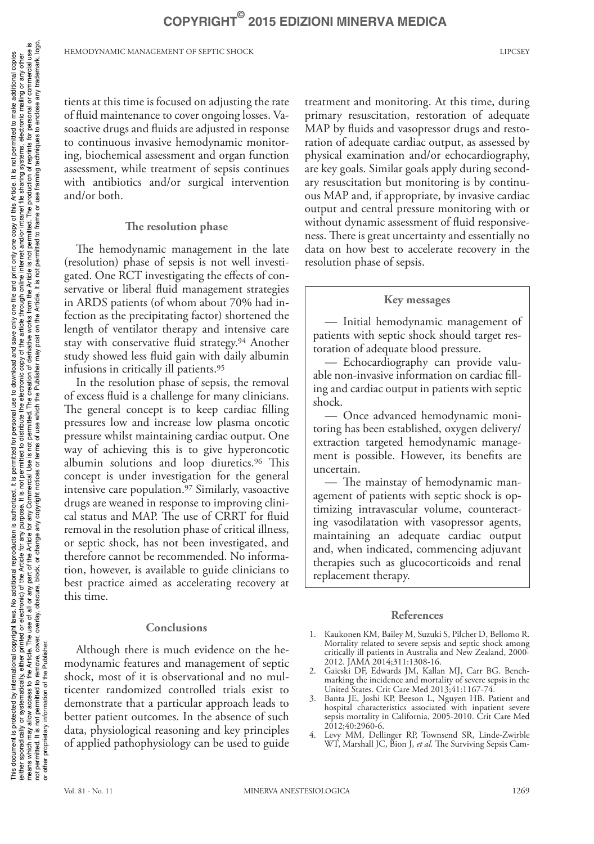tients at this time is focused on adjusting the rate of fluid maintenance to cover ongoing losses. Vasoactive drugs and fluids are adjusted in response to continuous invasive hemodynamic monitoring, biochemical assessment and organ function assessment, while treatment of sepsis continues with antibiotics and/or surgical intervention and/or both.

## **The resolution phase**

The hemodynamic management in the late (resolution) phase of sepsis is not well investigated. One RCT investigating the effects of conservative or liberal fluid management strategies in ARDS patients (of whom about 70% had infection as the precipitating factor) shortened the length of ventilator therapy and intensive care stay with conservative fluid strategy.94 Another study showed less fluid gain with daily albumin infusions in critically ill patients.95

In the resolution phase of sepsis, the removal of excess fluid is a challenge for many clinicians. The general concept is to keep cardiac filling pressures low and increase low plasma oncotic pressure whilst maintaining cardiac output. One way of achieving this is to give hyperoncotic albumin solutions and loop diuretics.96 This concept is under investigation for the general intensive care population.97 Similarly, vasoactive drugs are weaned in response to improving clinical status and MAP. The use of CRRT for fluid removal in the resolution phase of critical illness, or septic shock, has not been investigated, and therefore cannot be recommended. No information, however, is available to guide clinicians to best practice aimed as accelerating recovery at this time.

# **Conclusions**

Although there is much evidence on the hemodynamic features and management of septic shock, most of it is observational and no multicenter randomized controlled trials exist to demonstrate that a particular approach leads to better patient outcomes. In the absence of such data, physiological reasoning and key principles of applied pathophysiology can be used to guide treatment and monitoring. At this time, during primary resuscitation, restoration of adequate MAP by fluids and vasopressor drugs and restoration of adequate cardiac output, as assessed by physical examination and/or echocardiography, are key goals. Similar goals apply during secondary resuscitation but monitoring is by continuous MAP and, if appropriate, by invasive cardiac output and central pressure monitoring with or without dynamic assessment of fluid responsiveness. There is great uncertainty and essentially no data on how best to accelerate recovery in the resolution phase of sepsis.

# **Key messages**

— Initial hemodynamic management of patients with septic shock should target restoration of adequate blood pressure.

— Echocardiography can provide valuable non-invasive information on cardiac filling and cardiac output in patients with septic shock.

— Once advanced hemodynamic monitoring has been established, oxygen delivery/ extraction targeted hemodynamic management is possible. However, its benefits are uncertain.

— The mainstay of hemodynamic management of patients with septic shock is optimizing intravascular volume, counteracting vasodilatation with vasopressor agents, maintaining an adequate cardiac output and, when indicated, commencing adjuvant therapies such as glucocorticoids and renal replacement therapy.

# **References**

- 1. Kaukonen KM, Bailey M, Suzuki S, Pilcher D, Bellomo R. Mortality related to severe sepsis and septic shock among critically ill patients in Australia and New Zealand, 2000- 2012. JAMA 2014;311:1308-16.
- 2. Gaieski DF, Edwards JM, Kallan MJ, Carr BG. Benchmarking the incidence and mortality of severe sepsis in the United States. Crit Care Med 2013;41:1167-74.
- 3. Banta JE, Joshi KP, Beeson L, Nguyen HB. Patient and hospital characteristics associated with inpatient severe sepsis mortality in California, 2005-2010. Crit Care Med 2012;40:2960-6.
- 4. Levy MM, Dellinger RP, Townsend SR, Linde-Zwirble WT, Marshall JC, Bion J, *et al.* The Surviving Sepsis Cam-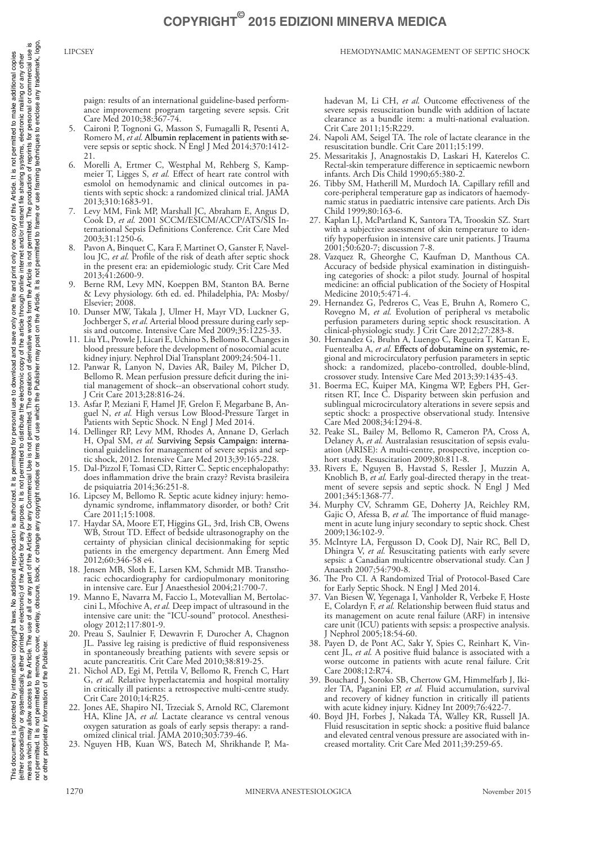paign: results of an international guideline-based performance improvement program targeting severe sepsis. Crit Care Med 2010;38:367-74.

- 5. Caironi P, Tognoni G, Masson S, Fumagalli R, Pesenti A, Romero M, et al. Albumin replacement in patients with severe sepsis or septic shock. N Engl J Med 2014;370:1412- 21.
- 6. Morelli A, Ertmer C, Westphal M, Rehberg S, Kampmeier T, Ligges S, *et al.* Effect of heart rate control with esmolol on hemodynamic and clinical outcomes in patients with septic shock: a randomized clinical trial. JAMA 2013;310:1683-91.
- 7. Levy MM, Fink MP, Marshall JC, Abraham E, Angus D, Cook D, *et al.* 2001 SCCM/ESICM/ACCP/ATS/SIS International Sepsis Definitions Conference. Crit Care Med 2003;31:1250-6.
- Pavon A, Binquet C, Kara F, Martinet O, Ganster F, Navellou JC, *et al.* Profile of the risk of death after septic shock in the present era: an epidemiologic study. Crit Care Med 2013;41:2600-9.
- 9. Berne RM, Levy MN, Koeppen BM, Stanton BA. Berne & Levy physiology. 6th ed. ed. Philadelphia, PA: Mosby/ Elsevier; 2008.
- 10. Dunser MW, Takala J, Ulmer H, Mayr VD, Luckner G, Jochberger S, *et al.* Arterial blood pressure during early sepsis and outcome. Intensive Care Med 2009;35:1225-33.
- 11. Liu YL, Prowle J, Licari E, Uchino S, Bellomo R. Changes in blood pressure before the development of nosocomial acute kidney injury. Nephrol Dial Transplant 2009;24:504-11.
- 12. Panwar R, Lanyon N, Davies AR, Bailey M, Pilcher D, Bellomo R. Mean perfusion pressure deficit during the initial management of shock--an observational cohort study. J Crit Care 2013;28:816-24.
- 13. Asfar P, Meziani F, Hamel JF, Grelon F, Megarbane B, Anguel N, *et al.* High versus Low Blood-Pressure Target in Patients with Septic Shock. N Engl J Med 2014.
- 14. Dellinger RP, Levy MM, Rhodes A, Annane D, Gerlach H, Opal SM, et al. Surviving Sepsis Campaign: international guidelines for management of severe sepsis and septic shock, 2012. Intensive Care Med 2013;39:165-228.
- 15. Dal-Pizzol F, Tomasi CD, Ritter C. Septic encephalopathy: does inflammation drive the brain crazy? Revista brasileira de psiquiatria 2014;36:251-8.
- 16. Lipcsey M, Bellomo R. Septic acute kidney injury: hemodynamic syndrome, inflammatory disorder, or both? Crit Care 2011;15:1008.
- 17. Haydar SA, Moore ET, Higgins GL, 3rd, Irish CB, Owens WB, Strout TD. Effect of bedside ultrasonography on the certainty of physician clinical decisionmaking for septic patients in the emergency department. Ann Emerg Med 2012;60:346-58 e4.
- 18. Jensen MB, Sloth E, Larsen KM, Schmidt MB. Transthoracic echocardiography for cardiopulmonary monitoring in intensive care. Eur J Anaesthesiol 2004;21:700-7.
- 19. Manno E, Navarra M, Faccio L, Motevallian M, Bertolaccini L, Mfochive A, *et al.* Deep impact of ultrasound in the intensive care unit: the "ICU-sound" protocol. Anesthesiology 2012;117:801-9.
- 20. Preau S, Saulnier F, Dewavrin F, Durocher A, Chagnon JL. Passive leg raising is predictive of fluid responsiveness in spontaneously breathing patients with severe sepsis or acute pancreatitis. Crit Care Med 2010;38:819-25.
- 21. Nichol AD, Egi M, Pettila V, Bellomo R, French C, Hart G, *et al.* Relative hyperlactatemia and hospital mortality in critically ill patients: a retrospective multi-centre study. Crit Care 2010;14:R25.
- 22. Jones AE, Shapiro NI, Trzeciak S, Arnold RC, Claremont HA, Kline JA, *et al.* Lactate clearance vs central venous oxygen saturation as goals of early sepsis therapy: a randomized clinical trial. JAMA 2010;303:739-46.
- 23. Nguyen HB, Kuan WS, Batech M, Shrikhande P, Ma-

hadevan M, Li CH, *et al.* Outcome effectiveness of the severe sepsis resuscitation bundle with addition of lactate clearance as a bundle item: a multi-national evaluation. Crit Care 2011;15:R229.

- 24. Napoli AM, Seigel TA. The role of lactate clearance in the resuscitation bundle. Crit Care 2011;15:199.
- 25. Messaritakis J, Anagnostakis D, Laskari H, Katerelos C. Rectal-skin temperature difference in septicaemic newborn infants. Arch Dis Child 1990;65:380-2.
- 26. Tibby SM, Hatherill M, Murdoch IA. Capillary refill and core-peripheral temperature gap as indicators of haemodynamic status in paediatric intensive care patients. Arch Dis Child 1999;80:163-6.
- 27. Kaplan LJ, McPartland K, Santora TA, Trooskin SZ. Start with a subjective assessment of skin temperature to identify hypoperfusion in intensive care unit patients. J Trauma 2001;50:620-7; discussion 7-8.
- 28. Vazquez R, Gheorghe C, Kaufman D, Manthous CA. Accuracy of bedside physical examination in distinguishing categories of shock: a pilot study. Journal of hospital medicine: an official publication of the Society of Hospital Medicine 2010;5:471-4.
- 29. Hernandez G, Pedreros C, Veas E, Bruhn A, Romero C, Rovegno M, *et al.* Evolution of peripheral vs metabolic perfusion parameters during septic shock resuscitation. A clinical-physiologic study. J Crit Care 2012;27:283-8.
- 30. Hernandez G, Bruhn A, Luengo C, Regueira T, Kattan E, Fuentealba A, et al. Effects of dobutamine on systemic, regional and microcirculatory perfusion parameters in septic shock: a randomized, placebo-controlled, double-blind, crossover study. Intensive Care Med 2013;39:1435-43.
- 31. Boerma EC, Kuiper MA, Kingma WP, Egbers PH, Gerritsen RT, Ince C. Disparity between skin perfusion and sublingual microcirculatory alterations in severe sepsis and septic shock: a prospective observational study. Intensive Care Med 2008;34:1294-8.
- 32. Peake SL, Bailey M, Bellomo R, Cameron PA, Cross A, Delaney A, *et al.* Australasian resuscitation of sepsis evaluation (ARISE): A multi-centre, prospective, inception cohort study. Resuscitation 2009;80:811-8.
- 33. Rivers E, Nguyen B, Havstad S, Ressler J, Muzzin A, Knoblich B, *et al.* Early goal-directed therapy in the treatment of severe sepsis and septic shock. N Engl J Med 2001;345:1368-77.
- 34. Murphy CV, Schramm GE, Doherty JA, Reichley RM, Gajic O, Afessa B, *et al.* The importance of fluid management in acute lung injury secondary to septic shock. Chest 2009;136:102-9.
- 35. McIntyre LA, Fergusson D, Cook DJ, Nair RC, Bell D, Dhingra V, *et al.* Resuscitating patients with early severe sepsis: a Canadian multicentre observational study. Can J Anaesth 2007;54:790-8.
- The Pro CI. A Randomized Trial of Protocol-Based Care for Early Septic Shock. N Engl J Med 2014.
- 37. Van Biesen W, Yegenaga I, Vanholder R, Verbeke F, Hoste E, Colardyn F, *et al.* Relationship between fluid status and its management on acute renal failure (ARF) in intensive care unit (ICU) patients with sepsis: a prospective analysis. J Nephrol 2005;18:54-60.
- 38. Payen D, de Pont AC, Sakr Y, Spies C, Reinhart K, Vincent JL, *et al.* A positive fluid balance is associated with a worse outcome in patients with acute renal failure. Crit Care 2008;12:R74.
- 39. Bouchard J, Soroko SB, Chertow GM, Himmelfarb J, Ikizler TA, Paganini EP, *et al.* Fluid accumulation, survival and recovery of kidney function in critically ill patients with acute kidney injury. Kidney Int 2009;76:422-7
- 40. Boyd JH, Forbes J, Nakada TA, Walley KR, Russell JA. Fluid resuscitation in septic shock: a positive fluid balance and elevated central venous pressure are associated with increased mortality. Crit Care Med 2011;39:259-65.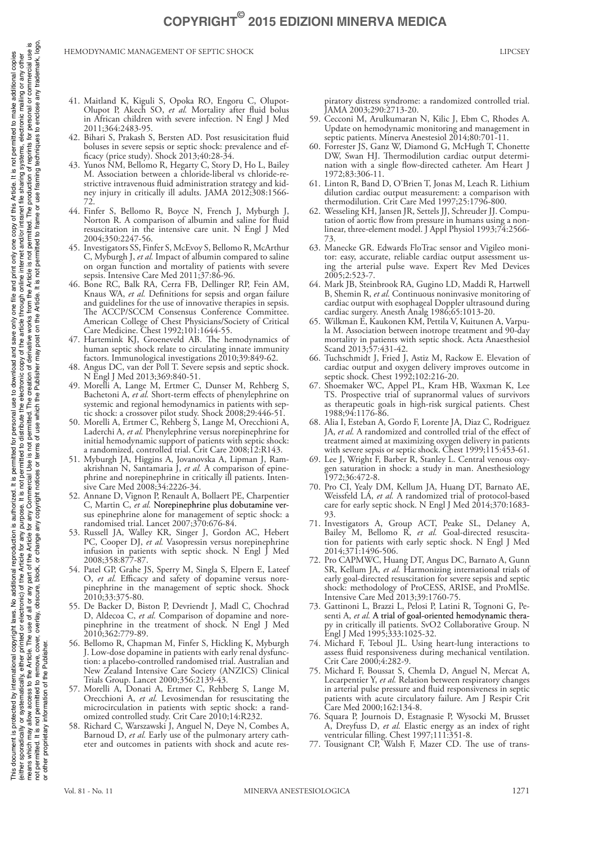- 41. Maitland K, Kiguli S, Opoka RO, Engoru C, Olupot-Olupot P, Akech SO, *et al.* Mortality after fluid bolus in African children with severe infection. N Engl J Med 2011;364:2483-95.
- 42. Bihari S, Prakash S, Bersten AD. Post resusicitation fluid boluses in severe sepsis or septic shock: prevalence and efficacy (price study). Shock 2013;40:28-34.
- 43. Yunos NM, Bellomo R, Hegarty C, Story D, Ho L, Bailey M. Association between a chloride-liberal vs chloride-restrictive intravenous fluid administration strategy and kidney injury in critically ill adults. JAMA 2012;308:1566-72.
- 44. Finfer S, Bellomo R, Boyce N, French J, Myburgh J, Norton R. A comparison of albumin and saline for fluid resuscitation in the intensive care unit. N Engl J Med 2004;350:2247-56.
- 45. Investigators SS, Finfer S, McEvoy S, Bellomo R, McArthur C, Myburgh J, *et al.* Impact of albumin compared to saline on organ function and mortality of patients with severe sepsis. Intensive Care Med 2011;37:86-96.
- 46. Bone RC, Balk RA, Cerra FB, Dellinger RP, Fein AM, Knaus WA, *et al.* Definitions for sepsis and organ failure and guidelines for the use of innovative therapies in sepsis. The ACCP/SCCM Consensus Conference Committee. American College of Chest Physicians/Society of Critical Care Medicine. Chest 1992;101:1644-55.
- 47. Hartemink KJ, Groeneveld AB. The hemodynamics of human septic shock relate to circulating innate immunity factors. Immunological investigations 2010;39:849-62.
- 48. Angus DC, van der Poll T. Severe sepsis and septic shock. N Engl J Med 2013;369:840-51.
- 49. Morelli A, Lange M, Ertmer C, Dunser M, Rehberg S, Bachetoni A, *et al.* Short-term effects of phenylephrine on systemic and regional hemodynamics in patients with septic shock: a crossover pilot study. Shock 2008;29:446-51.
- 50. Morelli A, Ertmer C, Rehberg S, Lange M, Orecchioni A, Laderchi A, *et al.* Phenylephrine versus norepinephrine for initial hemodynamic support of patients with septic shock: a randomized, controlled trial. Crit Care 2008;12:R143.
- 51. Myburgh JA, Higgins A, Jovanovska A, Lipman J, Ramakrishnan N, Santamaria J, *et al.* A comparison of epinephrine and norepinephrine in critically ill patients. Intensive Care Med 2008;34:2226-34.
- 52. Annane D, Vignon P, Renault A, Bollaert PE, Charpentier C, Martin C, et al. Norepinephrine plus dobutamine versus epinephrine alone for management of septic shock: a randomised trial. Lancet 2007;370:676-84.
- 53. Russell JA, Walley KR, Singer J, Gordon AC, Hebert PC, Cooper DJ, et al. Vasopressin versus norepinephrine infusion in patients with septic shock. N Engl  $\dot{J}$  Med 2008;358:877-87.
- 54. Patel GP, Grahe JS, Sperry M, Singla S, Elpern E, Lateef O, *et al.* Efficacy and safety of dopamine versus norepinephrine in the management of septic shock. Shock 2010;33:375-80.
- 55. De Backer D, Biston P, Devriendt J, Madl C, Chochrad D, Aldecoa C, *et al.* Comparison of dopamine and norepinephrine in the treatment of shock. N Engl J Med 2010;362:779-89.
- 56. Bellomo R, Chapman M, Finfer S, Hickling K, Myburgh J. Low-dose dopamine in patients with early renal dysfunction: a placebo-controlled randomised trial. Australian and New Zealand Intensive Care Society (ANZICS) Clinical Trials Group. Lancet 2000;356:2139-43.
- 57. Morelli A, Donati A, Ertmer C, Rehberg S, Lange M, Orecchioni A, *et al.* Levosimendan for resuscitating the microcirculation in patients with septic shock: a randomized controlled study. Crit Care 2010;14:R232.
- 58. Richard C, Warszawski J, Anguel N, Deye N, Combes A, Barnoud D, *et al.* Early use of the pulmonary artery catheter and outcomes in patients with shock and acute res-

piratory distress syndrome: a randomized controlled trial. JAMA 2003;290:2713-20.

59. Cecconi M, Arulkumaran N, Kilic J, Ebm C, Rhodes A. Update on hemodynamic monitoring and management in septic patients. Minerva Anestesiol 2014;80:701-11.

 **COPYRIGHT© 2015 EDIZIONI MINERVA MEDICA** 

- 60. Forrester JS, Ganz W, Diamond G, McHugh T, Chonette DW, Swan HJ. Thermodilution cardiac output determination with a single flow-directed catheter. Am Heart J 1972;83:306-11.
- 61. Linton R, Band D, O'Brien T, Jonas M, Leach R. Lithium dilution cardiac output measurement: a comparison with thermodilution. Crit Care Med 1997;25:1796-800.
- 62. Wesseling KH, Jansen JR, Settels JJ, Schreuder JJ. Computation of aortic flow from pressure in humans using a nonlinear, three-element model. J Appl Physiol 1993;74:2566-73.
- 63. Manecke GR. Edwards FloTrac sensor and Vigileo monitor: easy, accurate, reliable cardiac output assessment using the arterial pulse wave. Expert Rev Med Devices 2005;2:523-7.
- 64. Mark JB, Steinbrook RA, Gugino LD, Maddi R, Hartwell B, Shemin R, *et al.* Continuous noninvasive monitoring of cardiac output with esophageal Doppler ultrasound during cardiac surgery. Anesth Analg 1986;65:1013-20.
- 65. Wilkman E, Kaukonen KM, Pettila V, Kuitunen A, Varpula M. Association between inotrope treatment and 90-day mortality in patients with septic shock. Acta Anaesthesiol Scand 2013;57:431-42.
- 66. Tuchschmidt J, Fried J, Astiz M, Rackow E. Elevation of cardiac output and oxygen delivery improves outcome in septic shock. Chest 1992;102:216-20.
- 67. Shoemaker WC, Appel PL, Kram HB, Waxman K, Lee TS. Prospective trial of supranormal values of survivors as therapeutic goals in high-risk surgical patients. Chest 1988;94:1176-86.
- 68. Alia I, Esteban A, Gordo F, Lorente JA, Diaz C, Rodriguez JA, *et al.* A randomized and controlled trial of the effect of treatment aimed at maximizing oxygen delivery in patients with severe sepsis or septic shock. Chest 1999;115:453-61.
- 69. Lee J, Wright F, Barber R, Stanley L. Central venous oxygen saturation in shock: a study in man. Anesthesiology 1972;36:472-8.
- 70. Pro CI, Yealy DM, Kellum JA, Huang DT, Barnato AE, Weissfeld LA, *et al.* A randomized trial of protocol-based care for early septic shock. N Engl J Med 2014;370:1683-93.
- 71. Investigators A, Group ACT, Peake SL, Delaney A, Bailey M, Bellomo R, *et al.* Goal-directed resuscitation for patients with early septic shock. N Engl J Med 2014;371:1496-506.
- 72. Pro CAPMWC, Huang DT, Angus DC, Barnato A, Gunn SR, Kellum JA, *et al.* Harmonizing international trials of early goal-directed resuscitation for severe sepsis and septic shock: methodology of ProCESS, ARISE, and ProMISe. Intensive Care Med 2013;39:1760-75.
- 73. Gattinoni L, Brazzi L, Pelosi P, Latini R, Tognoni G, Pesenti A, et al. A trial of goal-oriented hemodynamic therapy in critically ill patients. SvO2 Collaborative Group. N Engl J Med 1995;333:1025-32.
- 74. Michard F, Teboul JL. Using heart-lung interactions to assess fluid responsiveness during mechanical ventilation. Crit Care 2000;4:282-9.
- 75. Michard F, Boussat S, Chemla D, Anguel N, Mercat A, Lecarpentier Y, *et al.* Relation between respiratory changes in arterial pulse pressure and fluid responsiveness in septic patients with acute circulatory failure. Am J Respir Crit Care Med 2000;162:134-8.
- 76. Squara P, Journois D, Estagnasie P, Wysocki M, Brusset A, Dreyfuss D, *et al.* Elastic energy as an index of right ventricular filling. Chest 1997;111:351-8.
- 77. Tousignant CP, Walsh F, Mazer CD. The use of trans-